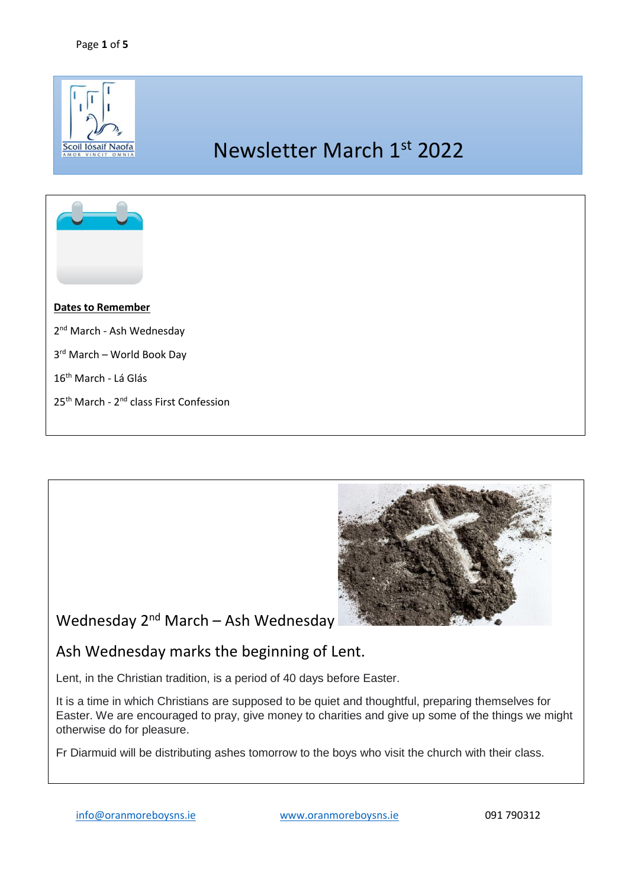



Ash Wednesday marks the beginning of Lent.

Lent, in the Christian tradition, is a period of 40 days before Easter.

It is a time in which Christians are supposed to be quiet and thoughtful, preparing themselves for Easter. We are encouraged to pray, give money to charities and give up some of the things we might otherwise do for pleasure.

Fr Diarmuid will be distributing ashes tomorrow to the boys who visit the church with their class.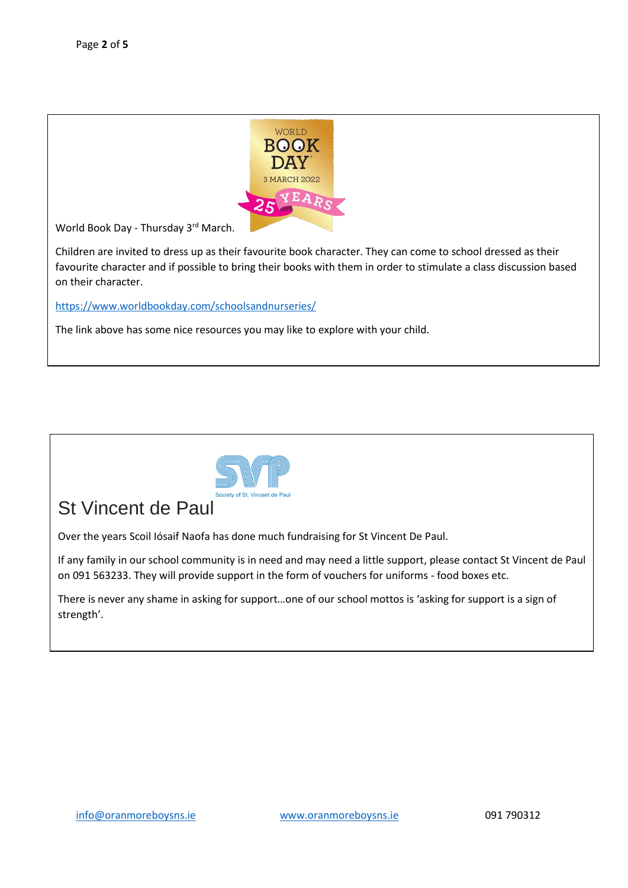

World Book Day - Thursday 3<sup>rd</sup> March.

Children are invited to dress up as their favourite book character. They can come to school dressed as their favourite character and if possible to bring their books with them in order to stimulate a class discussion based on their character.

<https://www.worldbookday.com/schoolsandnurseries/>

The link above has some nice resources you may like to explore with your child.



## St Vincent de Paul

Over the years Scoil Iósaif Naofa has done much fundraising for St Vincent De Paul.

If any family in our school community is in need and may need a little support, please contact St Vincent de Paul on 091 563233. They will provide support in the form of vouchers for uniforms - food boxes etc.

There is never any shame in asking for support…one of our school mottos is 'asking for support is a sign of strength'.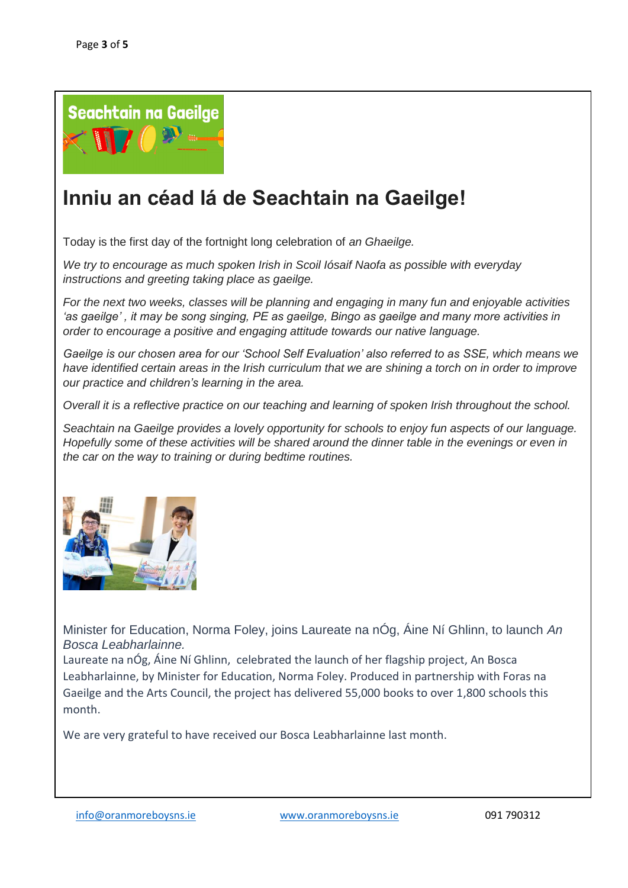

## **Inniu an céad lá de Seachtain na Gaeilge!**

Today is the first day of the fortnight long celebration of *an Ghaeilge.* 

*We try to encourage as much spoken Irish in Scoil Iósaif Naofa as possible with everyday instructions and greeting taking place as gaeilge.* 

*For the next two weeks, classes will be planning and engaging in many fun and enjoyable activities 'as gaeilge' , it may be song singing, PE as gaeilge, Bingo as gaeilge and many more activities in order to encourage a positive and engaging attitude towards our native language.* 

*Gaeilge is our chosen area for our 'School Self Evaluation' also referred to as SSE, which means we have identified certain areas in the Irish curriculum that we are shining a torch on in order to improve our practice and children's learning in the area.* 

*Overall it is a reflective practice on our teaching and learning of spoken Irish throughout the school.* 

*Seachtain na Gaeilge provides a lovely opportunity for schools to enjoy fun aspects of our language. Hopefully some of these activities will be shared around the dinner table in the evenings or even in the car on the way to training or during bedtime routines.* 



Minister for Education, Norma Foley, joins Laureate na nÓg, Áine Ní Ghlinn, to launch *An Bosca Leabharlainne.*

Laureate na nÓg, Áine Ní Ghlinn, celebrated the launch of her flagship project, An Bosca Leabharlainne, by Minister for Education, Norma Foley. Produced in partnership with Foras na Gaeilge and the Arts Council, the project has delivered 55,000 books to over 1,800 schools this month.

We are very grateful to have received our Bosca Leabharlainne last month.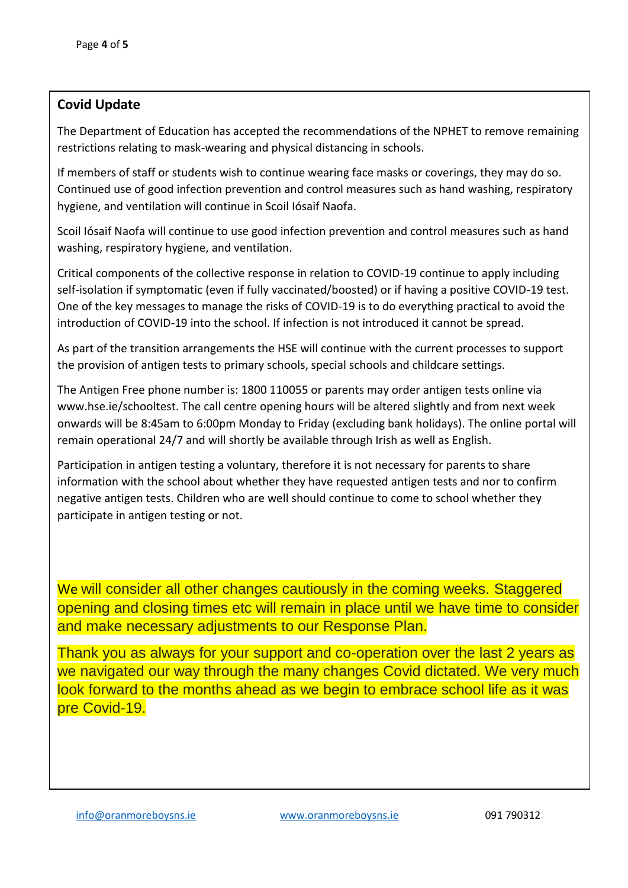## **Covid Update**

The Department of Education has accepted the recommendations of the NPHET to remove remaining restrictions relating to mask-wearing and physical distancing in schools.

If members of staff or students wish to continue wearing face masks or coverings, they may do so. Continued use of good infection prevention and control measures such as hand washing, respiratory hygiene, and ventilation will continue in Scoil Iósaif Naofa.

Scoil Iósaif Naofa will continue to use good infection prevention and control measures such as hand washing, respiratory hygiene, and ventilation.

Critical components of the collective response in relation to COVID-19 continue to apply including self-isolation if symptomatic (even if fully vaccinated/boosted) or if having a positive COVID-19 test. One of the key messages to manage the risks of COVID-19 is to do everything practical to avoid the introduction of COVID-19 into the school. If infection is not introduced it cannot be spread.

As part of the transition arrangements the HSE will continue with the current processes to support the provision of antigen tests to primary schools, special schools and childcare settings.

The Antigen Free phone number is: 1800 110055 or parents may order antigen tests online via www.hse.ie/schooltest. The call centre opening hours will be altered slightly and from next week onwards will be 8:45am to 6:00pm Monday to Friday (excluding bank holidays). The online portal will remain operational 24/7 and will shortly be available through Irish as well as English.

Participation in antigen testing a voluntary, therefore it is not necessary for parents to share information with the school about whether they have requested antigen tests and nor to confirm negative antigen tests. Children who are well should continue to come to school whether they participate in antigen testing or not.

We will consider all other changes cautiously in the coming weeks. Staggered opening and closing times etc will remain in place until we have time to consider and make necessary adjustments to our Response Plan.

Thank you as always for your support and co-operation over the last 2 years as we navigated our way through the many changes Covid dictated. We very much look forward to the months ahead as we begin to embrace school life as it was pre Covid-19.